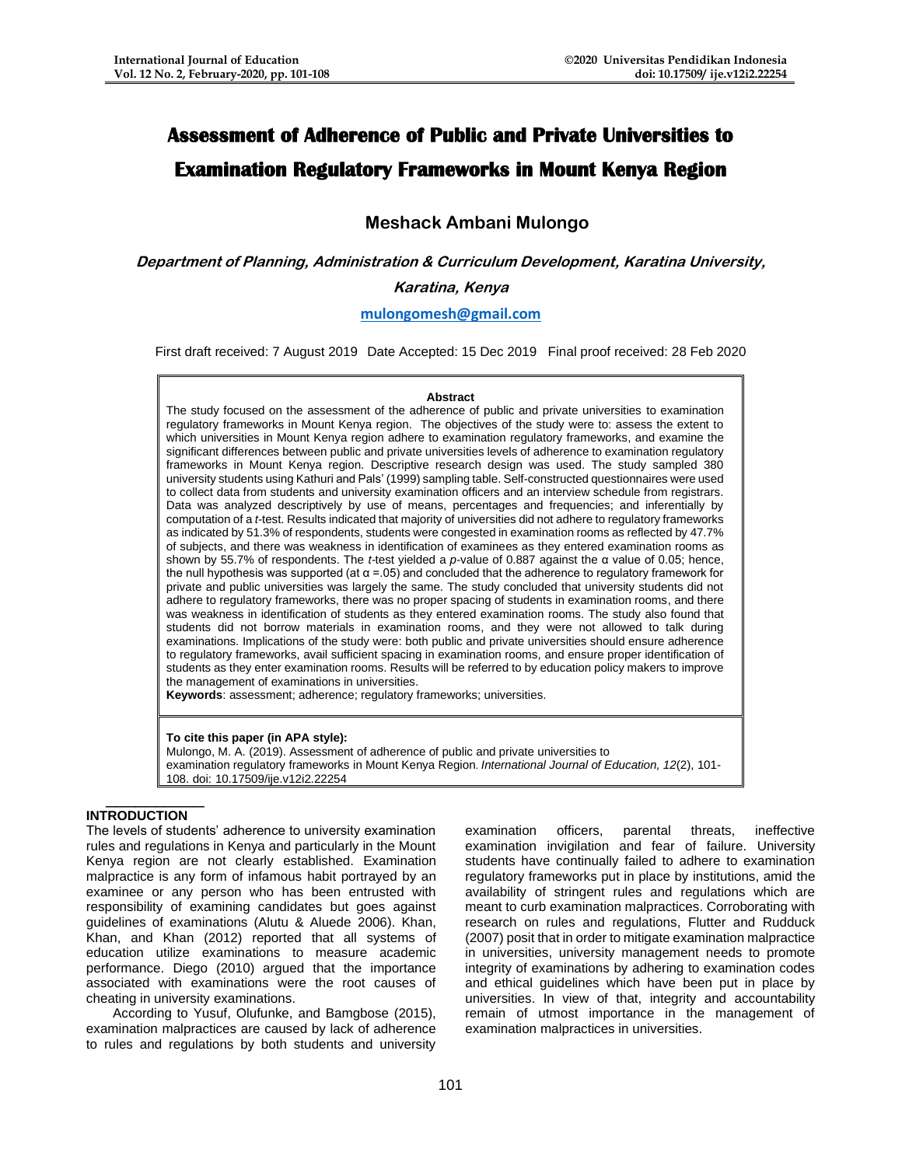# **Assessment of Adherence of Public and Private Universities to Examination Regulatory Frameworks in Mount Kenya Region**

## **Meshack Ambani Mulongo**

**Department of Planning, Administration & Curriculum Development, Karatina University, Karatina, Kenya**

## **[mulongomesh@gmail.com](mailto:mulongomesh@gmail.com)**

First draft received: 7 August 2019 Date Accepted: 15 Dec 2019 Final proof received: 28 Feb 2020

#### **Abstract**

The study focused on the assessment of the adherence of public and private universities to examination regulatory frameworks in Mount Kenya region. The objectives of the study were to: assess the extent to which universities in Mount Kenya region adhere to examination regulatory frameworks, and examine the significant differences between public and private universities levels of adherence to examination regulatory frameworks in Mount Kenya region. Descriptive research design was used. The study sampled 380 university students using Kathuri and Pals' (1999) sampling table. Self-constructed questionnaires were used to collect data from students and university examination officers and an interview schedule from registrars. Data was analyzed descriptively by use of means, percentages and frequencies; and inferentially by computation of a *t-*test. Results indicated that majority of universities did not adhere to regulatory frameworks as indicated by 51.3% of respondents, students were congested in examination rooms as reflected by 47.7% of subjects, and there was weakness in identification of examinees as they entered examination rooms as shown by 55.7% of respondents. The *t-*test yielded a *p-*value of 0.887 against the α value of 0.05; hence, the null hypothesis was supported (at  $α = .05$ ) and concluded that the adherence to regulatory framework for private and public universities was largely the same. The study concluded that university students did not adhere to regulatory frameworks, there was no proper spacing of students in examination rooms, and there was weakness in identification of students as they entered examination rooms. The study also found that students did not borrow materials in examination rooms, and they were not allowed to talk during examinations. Implications of the study were: both public and private universities should ensure adherence to regulatory frameworks, avail sufficient spacing in examination rooms, and ensure proper identification of students as they enter examination rooms. Results will be referred to by education policy makers to improve the management of examinations in universities.

**Keywords**: assessment; adherence; regulatory frameworks; universities.

#### **To cite this paper (in APA style):**

Mulongo, M. A. (2019). Assessment of adherence of public and private universities to examination regulatory frameworks in Mount Kenya Region. *International Journal of Education, 12*(2), 101- 108. doi: 10.17509/ije.v12i2.22254

## **INTRODUCTION**

\_\_\_\_\_\_\_\_\_\_

The levels of students' adherence to university examination rules and regulations in Kenya and particularly in the Mount Kenya region are not clearly established. Examination malpractice is any form of infamous habit portrayed by an examinee or any person who has been entrusted with responsibility of examining candidates but goes against guidelines of examinations (Alutu & Aluede 2006). Khan, Khan, and Khan (2012) reported that all systems of education utilize examinations to measure academic performance. Diego (2010) argued that the importance associated with examinations were the root causes of cheating in university examinations.

According to Yusuf, Olufunke, and Bamgbose (2015), examination malpractices are caused by lack of adherence to rules and regulations by both students and university

examination officers, parental threats, ineffective examination invigilation and fear of failure. University students have continually failed to adhere to examination regulatory frameworks put in place by institutions, amid the availability of stringent rules and regulations which are meant to curb examination malpractices. Corroborating with research on rules and regulations, Flutter and Rudduck (2007) posit that in order to mitigate examination malpractice in universities, university management needs to promote integrity of examinations by adhering to examination codes and ethical guidelines which have been put in place by universities. In view of that, integrity and accountability remain of utmost importance in the management of examination malpractices in universities.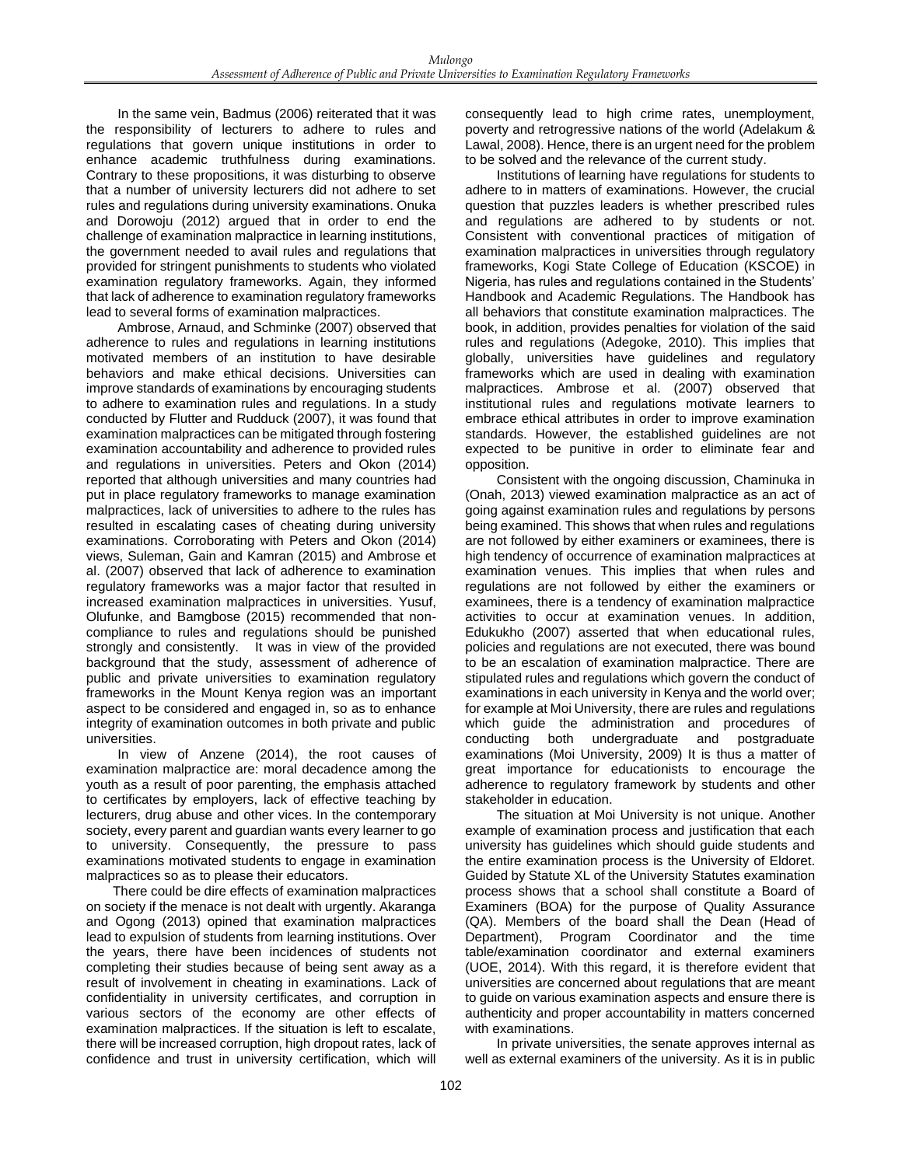In the same vein, Badmus (2006) reiterated that it was the responsibility of lecturers to adhere to rules and regulations that govern unique institutions in order to enhance academic truthfulness during examinations. Contrary to these propositions, it was disturbing to observe that a number of university lecturers did not adhere to set rules and regulations during university examinations. Onuka and Dorowoju (2012) argued that in order to end the challenge of examination malpractice in learning institutions, the government needed to avail rules and regulations that provided for stringent punishments to students who violated examination regulatory frameworks. Again, they informed that lack of adherence to examination regulatory frameworks lead to several forms of examination malpractices.

Ambrose, Arnaud, and Schminke (2007) observed that adherence to rules and regulations in learning institutions motivated members of an institution to have desirable behaviors and make ethical decisions. Universities can improve standards of examinations by encouraging students to adhere to examination rules and regulations. In a study conducted by Flutter and Rudduck (2007), it was found that examination malpractices can be mitigated through fostering examination accountability and adherence to provided rules and regulations in universities. Peters and Okon (2014) reported that although universities and many countries had put in place regulatory frameworks to manage examination malpractices, lack of universities to adhere to the rules has resulted in escalating cases of cheating during university examinations. Corroborating with Peters and Okon (2014) views, Suleman, Gain and Kamran (2015) and Ambrose et al. (2007) observed that lack of adherence to examination regulatory frameworks was a major factor that resulted in increased examination malpractices in universities. Yusuf, Olufunke, and Bamgbose (2015) recommended that noncompliance to rules and regulations should be punished strongly and consistently. It was in view of the provided background that the study, assessment of adherence of public and private universities to examination regulatory frameworks in the Mount Kenya region was an important aspect to be considered and engaged in, so as to enhance integrity of examination outcomes in both private and public universities.

In view of Anzene (2014), the root causes of examination malpractice are: moral decadence among the youth as a result of poor parenting, the emphasis attached to certificates by employers, lack of effective teaching by lecturers, drug abuse and other vices. In the contemporary society, every parent and guardian wants every learner to go to university. Consequently, the pressure to pass examinations motivated students to engage in examination malpractices so as to please their educators.

There could be dire effects of examination malpractices on society if the menace is not dealt with urgently. Akaranga and Ogong (2013) opined that examination malpractices lead to expulsion of students from learning institutions. Over the years, there have been incidences of students not completing their studies because of being sent away as a result of involvement in cheating in examinations. Lack of confidentiality in university certificates, and corruption in various sectors of the economy are other effects of examination malpractices. If the situation is left to escalate, there will be increased corruption, high dropout rates, lack of confidence and trust in university certification, which will

consequently lead to high crime rates, unemployment, poverty and retrogressive nations of the world (Adelakum & Lawal, 2008). Hence, there is an urgent need for the problem to be solved and the relevance of the current study.

Institutions of learning have regulations for students to adhere to in matters of examinations. However, the crucial question that puzzles leaders is whether prescribed rules and regulations are adhered to by students or not. Consistent with conventional practices of mitigation of examination malpractices in universities through regulatory frameworks, Kogi State College of Education (KSCOE) in Nigeria, has rules and regulations contained in the Students' Handbook and Academic Regulations. The Handbook has all behaviors that constitute examination malpractices. The book, in addition, provides penalties for violation of the said rules and regulations (Adegoke, 2010). This implies that globally, universities have guidelines and regulatory frameworks which are used in dealing with examination malpractices. Ambrose et al. (2007) observed that institutional rules and regulations motivate learners to embrace ethical attributes in order to improve examination standards. However, the established guidelines are not expected to be punitive in order to eliminate fear and opposition.

Consistent with the ongoing discussion, Chaminuka in (Onah, 2013) viewed examination malpractice as an act of going against examination rules and regulations by persons being examined. This shows that when rules and regulations are not followed by either examiners or examinees, there is high tendency of occurrence of examination malpractices at examination venues. This implies that when rules and regulations are not followed by either the examiners or examinees, there is a tendency of examination malpractice activities to occur at examination venues. In addition, Edukukho (2007) asserted that when educational rules, policies and regulations are not executed, there was bound to be an escalation of examination malpractice. There are stipulated rules and regulations which govern the conduct of examinations in each university in Kenya and the world over; for example at Moi University, there are rules and regulations which guide the administration and procedures of conducting both undergraduate and postgraduate examinations (Moi University, 2009) It is thus a matter of great importance for educationists to encourage the adherence to regulatory framework by students and other stakeholder in education.

The situation at Moi University is not unique. Another example of examination process and justification that each university has guidelines which should guide students and the entire examination process is the University of Eldoret. Guided by Statute XL of the University Statutes examination process shows that a school shall constitute a Board of Examiners (BOA) for the purpose of Quality Assurance (QA). Members of the board shall the Dean (Head of Department), Program Coordinator and the time table/examination coordinator and external examiners (UOE, 2014). With this regard, it is therefore evident that universities are concerned about regulations that are meant to guide on various examination aspects and ensure there is authenticity and proper accountability in matters concerned with examinations.

In private universities, the senate approves internal as well as external examiners of the university. As it is in public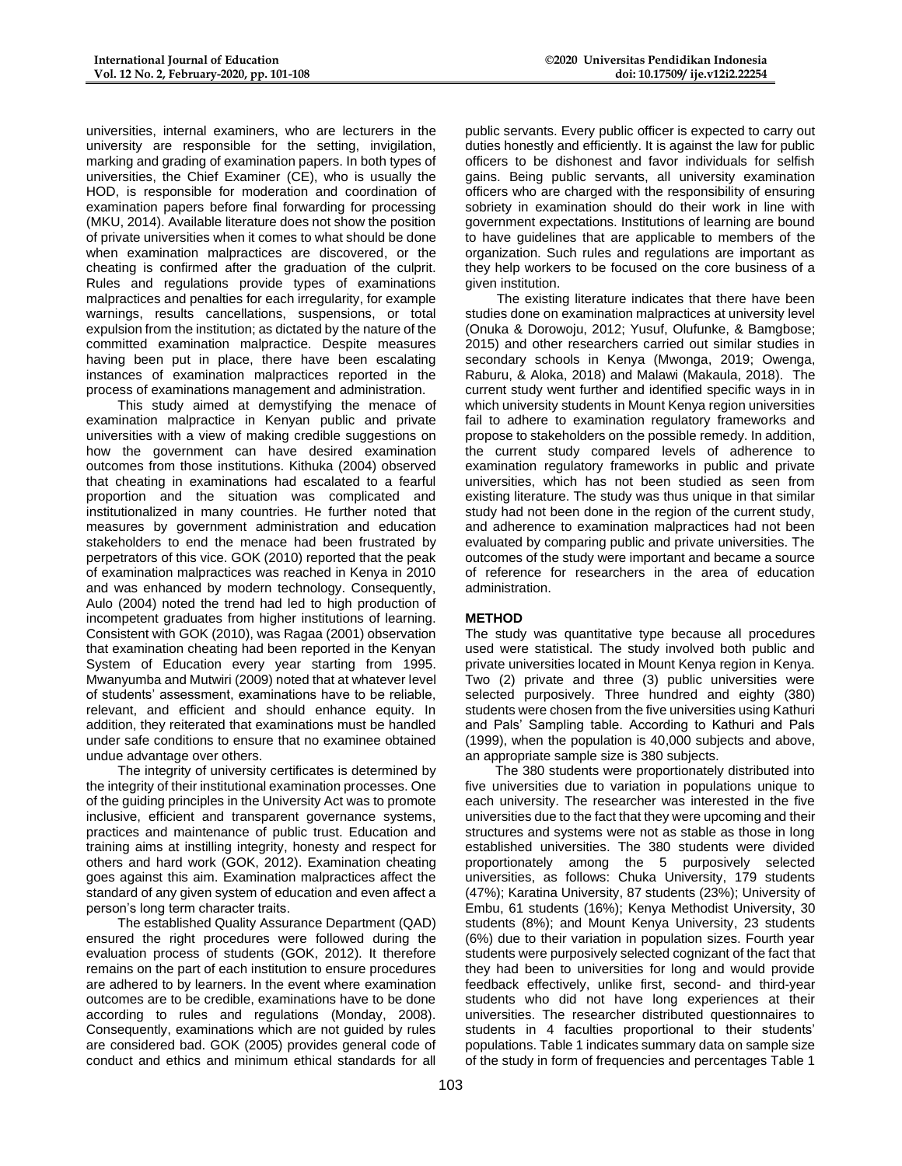universities, internal examiners, who are lecturers in the university are responsible for the setting, invigilation, marking and grading of examination papers. In both types of universities, the Chief Examiner (CE), who is usually the HOD, is responsible for moderation and coordination of examination papers before final forwarding for processing (MKU, 2014). Available literature does not show the position of private universities when it comes to what should be done when examination malpractices are discovered, or the cheating is confirmed after the graduation of the culprit. Rules and regulations provide types of examinations malpractices and penalties for each irregularity, for example warnings, results cancellations, suspensions, or total expulsion from the institution; as dictated by the nature of the committed examination malpractice. Despite measures having been put in place, there have been escalating instances of examination malpractices reported in the process of examinations management and administration.

This study aimed at demystifying the menace of examination malpractice in Kenyan public and private universities with a view of making credible suggestions on how the government can have desired examination outcomes from those institutions. Kithuka (2004) observed that cheating in examinations had escalated to a fearful proportion and the situation was complicated and institutionalized in many countries. He further noted that measures by government administration and education stakeholders to end the menace had been frustrated by perpetrators of this vice. GOK (2010) reported that the peak of examination malpractices was reached in Kenya in 2010 and was enhanced by modern technology. Consequently, Aulo (2004) noted the trend had led to high production of incompetent graduates from higher institutions of learning. Consistent with GOK (2010), was Ragaa (2001) observation that examination cheating had been reported in the Kenyan System of Education every year starting from 1995. Mwanyumba and Mutwiri (2009) noted that at whatever level of students' assessment, examinations have to be reliable, relevant, and efficient and should enhance equity. In addition, they reiterated that examinations must be handled under safe conditions to ensure that no examinee obtained undue advantage over others.

The integrity of university certificates is determined by the integrity of their institutional examination processes. One of the guiding principles in the University Act was to promote inclusive, efficient and transparent governance systems, practices and maintenance of public trust. Education and training aims at instilling integrity, honesty and respect for others and hard work (GOK, 2012). Examination cheating goes against this aim. Examination malpractices affect the standard of any given system of education and even affect a person's long term character traits.

The established Quality Assurance Department (QAD) ensured the right procedures were followed during the evaluation process of students (GOK, 2012). It therefore remains on the part of each institution to ensure procedures are adhered to by learners. In the event where examination outcomes are to be credible, examinations have to be done according to rules and regulations (Monday, 2008). Consequently, examinations which are not guided by rules are considered bad. GOK (2005) provides general code of conduct and ethics and minimum ethical standards for all

public servants. Every public officer is expected to carry out duties honestly and efficiently. It is against the law for public officers to be dishonest and favor individuals for selfish gains. Being public servants, all university examination officers who are charged with the responsibility of ensuring sobriety in examination should do their work in line with government expectations. Institutions of learning are bound to have guidelines that are applicable to members of the organization. Such rules and regulations are important as they help workers to be focused on the core business of a given institution.

The existing literature indicates that there have been studies done on examination malpractices at university level (Onuka & Dorowoju, 2012; Yusuf, Olufunke, & Bamgbose; 2015) and other researchers carried out similar studies in secondary schools in Kenya (Mwonga, 2019; Owenga, Raburu, & Aloka, 2018) and Malawi (Makaula, 2018). The current study went further and identified specific ways in in which university students in Mount Kenya region universities fail to adhere to examination regulatory frameworks and propose to stakeholders on the possible remedy. In addition, the current study compared levels of adherence to examination regulatory frameworks in public and private universities, which has not been studied as seen from existing literature. The study was thus unique in that similar study had not been done in the region of the current study, and adherence to examination malpractices had not been evaluated by comparing public and private universities. The outcomes of the study were important and became a source of reference for researchers in the area of education administration.

## **METHOD**

The study was quantitative type because all procedures used were statistical. The study involved both public and private universities located in Mount Kenya region in Kenya. Two (2) private and three (3) public universities were selected purposively. Three hundred and eighty (380) students were chosen from the five universities using Kathuri and Pals' Sampling table. According to Kathuri and Pals (1999), when the population is 40,000 subjects and above, an appropriate sample size is 380 subjects.

The 380 students were proportionately distributed into five universities due to variation in populations unique to each university. The researcher was interested in the five universities due to the fact that they were upcoming and their structures and systems were not as stable as those in long established universities. The 380 students were divided proportionately among the 5 purposively selected universities, as follows: Chuka University, 179 students (47%); Karatina University, 87 students (23%); University of Embu, 61 students (16%); Kenya Methodist University, 30 students (8%); and Mount Kenya University, 23 students (6%) due to their variation in population sizes. Fourth year students were purposively selected cognizant of the fact that they had been to universities for long and would provide feedback effectively, unlike first, second- and third-year students who did not have long experiences at their universities. The researcher distributed questionnaires to students in 4 faculties proportional to their students' populations. Table 1 indicates summary data on sample size of the study in form of frequencies and percentages Table 1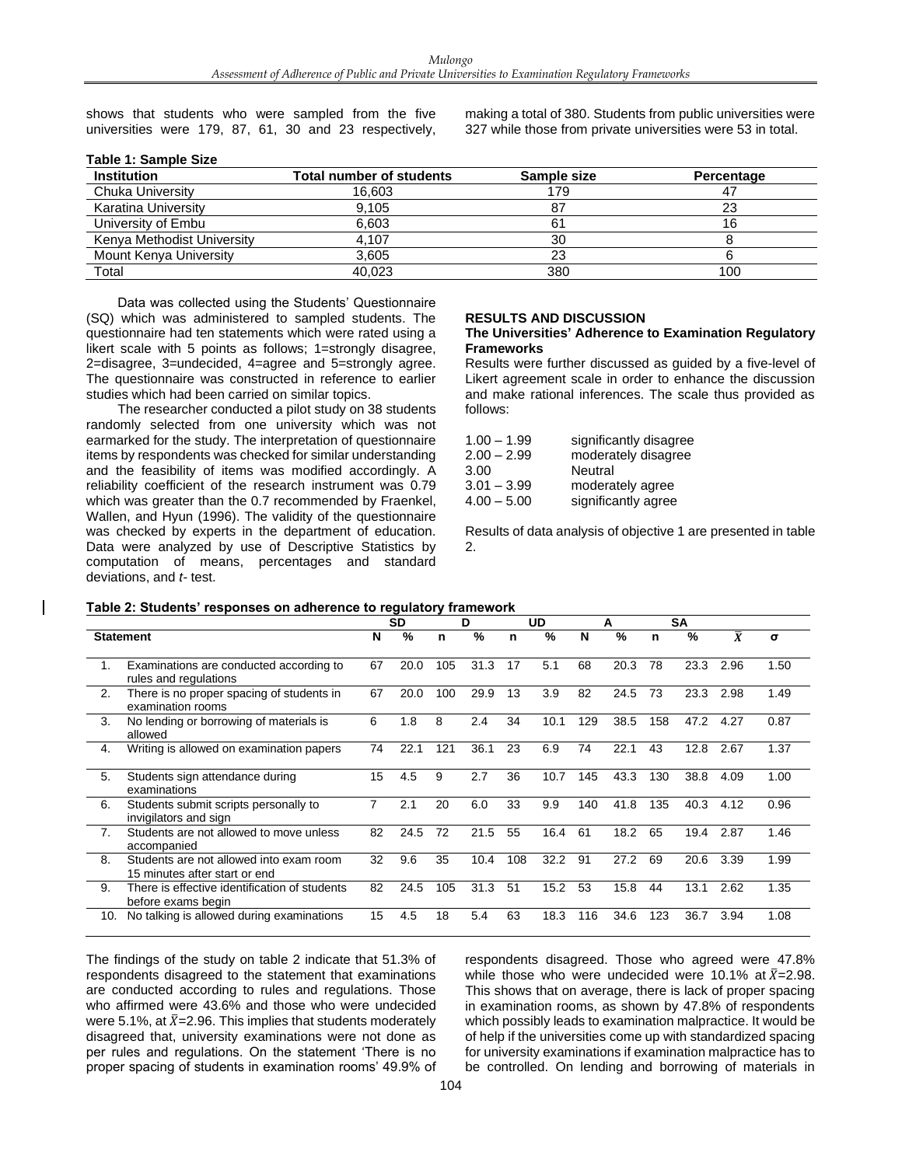shows that students who were sampled from the five universities were 179, 87, 61, 30 and 23 respectively,

**Table 1: Sample Size**

making a total of 380. Students from public universities were 327 while those from private universities were 53 in total.

| <b>Institution</b>         | Total number of students | Sample size | Percentage |  |  |
|----------------------------|--------------------------|-------------|------------|--|--|
| Chuka University           | 16.603                   | 179         |            |  |  |
| Karatina University        | 9,105                    | 87          | 23         |  |  |
| University of Embu         | 6.603                    | 61          | 16         |  |  |
| Kenya Methodist University | 4.107                    | 30          |            |  |  |
| Mount Kenya University     | 3.605                    | 23          |            |  |  |
| Total                      | 40.023                   | 380         | 100        |  |  |

Data was collected using the Students' Questionnaire (SQ) which was administered to sampled students. The questionnaire had ten statements which were rated using a likert scale with 5 points as follows; 1=strongly disagree, 2=disagree, 3=undecided, 4=agree and 5=strongly agree. The questionnaire was constructed in reference to earlier studies which had been carried on similar topics.

The researcher conducted a pilot study on 38 students randomly selected from one university which was not earmarked for the study. The interpretation of questionnaire items by respondents was checked for similar understanding and the feasibility of items was modified accordingly. A reliability coefficient of the research instrument was 0.79 which was greater than the 0.7 recommended by Fraenkel, Wallen, and Hyun (1996). The validity of the questionnaire was checked by experts in the department of education. Data were analyzed by use of Descriptive Statistics by computation of means, percentages and standard deviations, and *t-* test.

#### **RESULTS AND DISCUSSION**

#### **The Universities' Adherence to Examination Regulatory Frameworks**

Results were further discussed as guided by a five-level of Likert agreement scale in order to enhance the discussion and make rational inferences. The scale thus provided as follows:

| significantly disagree |
|------------------------|
| moderately disagree    |
| Neutral                |
| moderately agree       |
| significantly agree    |
|                        |

Results of data analysis of objective 1 are presented in table 2.

#### **Table 2: Students' responses on adherence to regulatory framework**

|                  |                                                                          | <b>SD</b> |      | D   |      | UD  |      | А   |      | <b>SA</b> |      |                         |          |
|------------------|--------------------------------------------------------------------------|-----------|------|-----|------|-----|------|-----|------|-----------|------|-------------------------|----------|
| <b>Statement</b> |                                                                          | N         | %    | n   | %    | n   | $\%$ | N   | %    | n         | %    | $\overline{\textbf{x}}$ | $\sigma$ |
| 1.               | Examinations are conducted according to<br>rules and regulations         | 67        | 20.0 | 105 | 31.3 | 17  | 5.1  | 68  | 20.3 | 78        | 23.3 | 2.96                    | 1.50     |
| 2.               | There is no proper spacing of students in<br>examination rooms           | 67        | 20.0 | 100 | 29.9 | 13  | 3.9  | 82  | 24.5 | 73        | 23.3 | 2.98                    | 1.49     |
| 3.               | No lending or borrowing of materials is<br>allowed                       | 6         | 1.8  | 8   | 2.4  | 34  | 10.1 | 129 | 38.5 | 158       | 47.2 | 4.27                    | 0.87     |
| 4.               | Writing is allowed on examination papers                                 | 74        | 22.1 | 121 | 36.1 | 23  | 6.9  | 74  | 22.1 | 43        | 12.8 | 2.67                    | 1.37     |
| 5.               | Students sign attendance during<br>examinations                          | 15        | 4.5  | 9   | 2.7  | 36  | 10.7 | 145 | 43.3 | 130       | 38.8 | 4.09                    | 1.00     |
| 6.               | Students submit scripts personally to<br>invigilators and sign           | 7         | 2.1  | 20  | 6.0  | 33  | 9.9  | 140 | 41.8 | 135       | 40.3 | 4.12                    | 0.96     |
| 7.               | Students are not allowed to move unless<br>accompanied                   | 82        | 24.5 | 72  | 21.5 | 55  | 16.4 | 61  | 18.2 | 65        | 19.4 | 2.87                    | 1.46     |
| 8.               | Students are not allowed into exam room<br>15 minutes after start or end | 32        | 9.6  | 35  | 10.4 | 108 | 32.2 | 91  | 27.2 | 69        | 20.6 | 3.39                    | 1.99     |
| 9.               | There is effective identification of students<br>before exams begin      | 82        | 24.5 | 105 | 31.3 | 51  | 15.2 | 53  | 15.8 | 44        | 13.1 | 2.62                    | 1.35     |
| 10.              | No talking is allowed during examinations                                | 15        | 4.5  | 18  | 5.4  | 63  | 18.3 | 116 | 34.6 | 123       | 36.7 | 3.94                    | 1.08     |

The findings of the study on table 2 indicate that 51.3% of respondents disagreed to the statement that examinations are conducted according to rules and regulations. Those who affirmed were 43.6% and those who were undecided were 5.1%, at  $\bar{X}$ =2.96. This implies that students moderately disagreed that, university examinations were not done as per rules and regulations. On the statement 'There is no proper spacing of students in examination rooms' 49.9% of respondents disagreed. Those who agreed were 47.8% while those who were undecided were 10.1% at  $\bar{X}=2.98$ . This shows that on average, there is lack of proper spacing in examination rooms, as shown by 47.8% of respondents which possibly leads to examination malpractice. It would be of help if the universities come up with standardized spacing for university examinations if examination malpractice has to be controlled. On lending and borrowing of materials in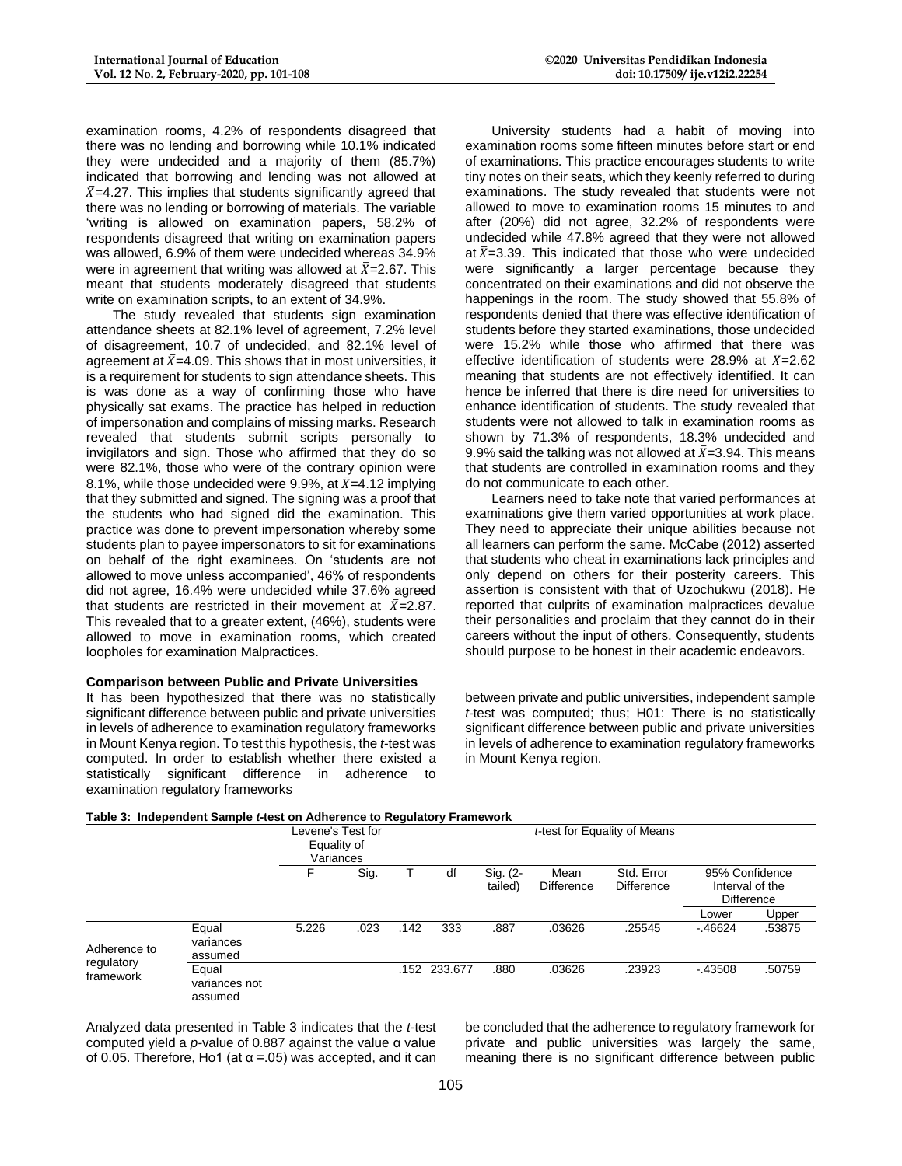examination rooms, 4.2% of respondents disagreed that there was no lending and borrowing while 10.1% indicated they were undecided and a majority of them (85.7%) indicated that borrowing and lending was not allowed at  $\overline{X}$ =4.27. This implies that students significantly agreed that there was no lending or borrowing of materials. The variable 'writing is allowed on examination papers, 58.2% of respondents disagreed that writing on examination papers was allowed, 6.9% of them were undecided whereas 34.9% were in agreement that writing was allowed at  $\bar{X}$ =2.67. This meant that students moderately disagreed that students write on examination scripts, to an extent of 34.9%.

The study revealed that students sign examination attendance sheets at 82.1% level of agreement, 7.2% level of disagreement, 10.7 of undecided, and 82.1% level of agreement at  $\bar{X}$ =4.09. This shows that in most universities, it is a requirement for students to sign attendance sheets. This is was done as a way of confirming those who have physically sat exams. The practice has helped in reduction of impersonation and complains of missing marks. Research revealed that students submit scripts personally to invigilators and sign. Those who affirmed that they do so were 82.1%, those who were of the contrary opinion were 8.1%, while those undecided were 9.9%, at  $\bar{X}$ =4.12 implying that they submitted and signed. The signing was a proof that the students who had signed did the examination. This practice was done to prevent impersonation whereby some students plan to payee impersonators to sit for examinations on behalf of the right examinees. On 'students are not allowed to move unless accompanied', 46% of respondents did not agree, 16.4% were undecided while 37.6% agreed that students are restricted in their movement at  $\bar{X}$ =2.87. This revealed that to a greater extent, (46%), students were allowed to move in examination rooms, which created loopholes for examination Malpractices.

## **Comparison between Public and Private Universities**

It has been hypothesized that there was no statistically significant difference between public and private universities in levels of adherence to examination regulatory frameworks in Mount Kenya region. To test this hypothesis, the *t-*test was computed. In order to establish whether there existed a statistically significant difference in adherence to examination regulatory frameworks

University students had a habit of moving into examination rooms some fifteen minutes before start or end of examinations. This practice encourages students to write tiny notes on their seats, which they keenly referred to during examinations. The study revealed that students were not allowed to move to examination rooms 15 minutes to and after (20%) did not agree, 32.2% of respondents were undecided while 47.8% agreed that they were not allowed at  $\bar{X}$ =3.39. This indicated that those who were undecided were significantly a larger percentage because they concentrated on their examinations and did not observe the happenings in the room. The study showed that 55.8% of respondents denied that there was effective identification of students before they started examinations, those undecided were 15.2% while those who affirmed that there was effective identification of students were 28.9% at  $\bar{X}$ =2.62 meaning that students are not effectively identified. It can hence be inferred that there is dire need for universities to enhance identification of students. The study revealed that students were not allowed to talk in examination rooms as shown by 71.3% of respondents, 18.3% undecided and 9.9% said the talking was not allowed at  $\bar{X}$ =3.94. This means that students are controlled in examination rooms and they do not communicate to each other.

Learners need to take note that varied performances at examinations give them varied opportunities at work place. They need to appreciate their unique abilities because not all learners can perform the same. McCabe (2012) asserted that students who cheat in examinations lack principles and only depend on others for their posterity careers. This assertion is consistent with that of Uzochukwu (2018). He reported that culprits of examination malpractices devalue their personalities and proclaim that they cannot do in their careers without the input of others. Consequently, students should purpose to be honest in their academic endeavors.

between private and public universities, independent sample *t-*test was computed; thus; H01: There is no statistically significant difference between public and private universities in levels of adherence to examination regulatory frameworks in Mount Kenya region.

#### **Table 3: Independent Sample** *t-***test on Adherence to Regulatory Framework**

|                                         |                                   | Levene's Test for<br>Equality of<br>Variances | t-test for Equality of Means |      |              |                     |                           |                                 |                                                        |        |  |
|-----------------------------------------|-----------------------------------|-----------------------------------------------|------------------------------|------|--------------|---------------------|---------------------------|---------------------------------|--------------------------------------------------------|--------|--|
|                                         |                                   | Sig.                                          |                              |      | df           | Sig. (2-<br>tailed) | Mean<br><b>Difference</b> | Std. Error<br><b>Difference</b> | 95% Confidence<br>Interval of the<br><b>Difference</b> |        |  |
|                                         |                                   |                                               |                              |      |              |                     |                           |                                 | Lower                                                  | Upper  |  |
| Adherence to<br>regulatory<br>framework | Equal<br>variances<br>assumed     | 5.226                                         | .023                         | .142 | 333          | .887                | .03626                    | .25545                          | $-46624$                                               | .53875 |  |
|                                         | Equal<br>variances not<br>assumed |                                               |                              |      | .152 233.677 | .880                | .03626                    | .23923                          | $-.43508$                                              | .50759 |  |

Analyzed data presented in Table 3 indicates that the *t-*test computed yield a *p-*value of 0.887 against the value α value of 0.05. Therefore, Ho1 (at α =.05) was accepted, and it can be concluded that the adherence to regulatory framework for private and public universities was largely the same, meaning there is no significant difference between public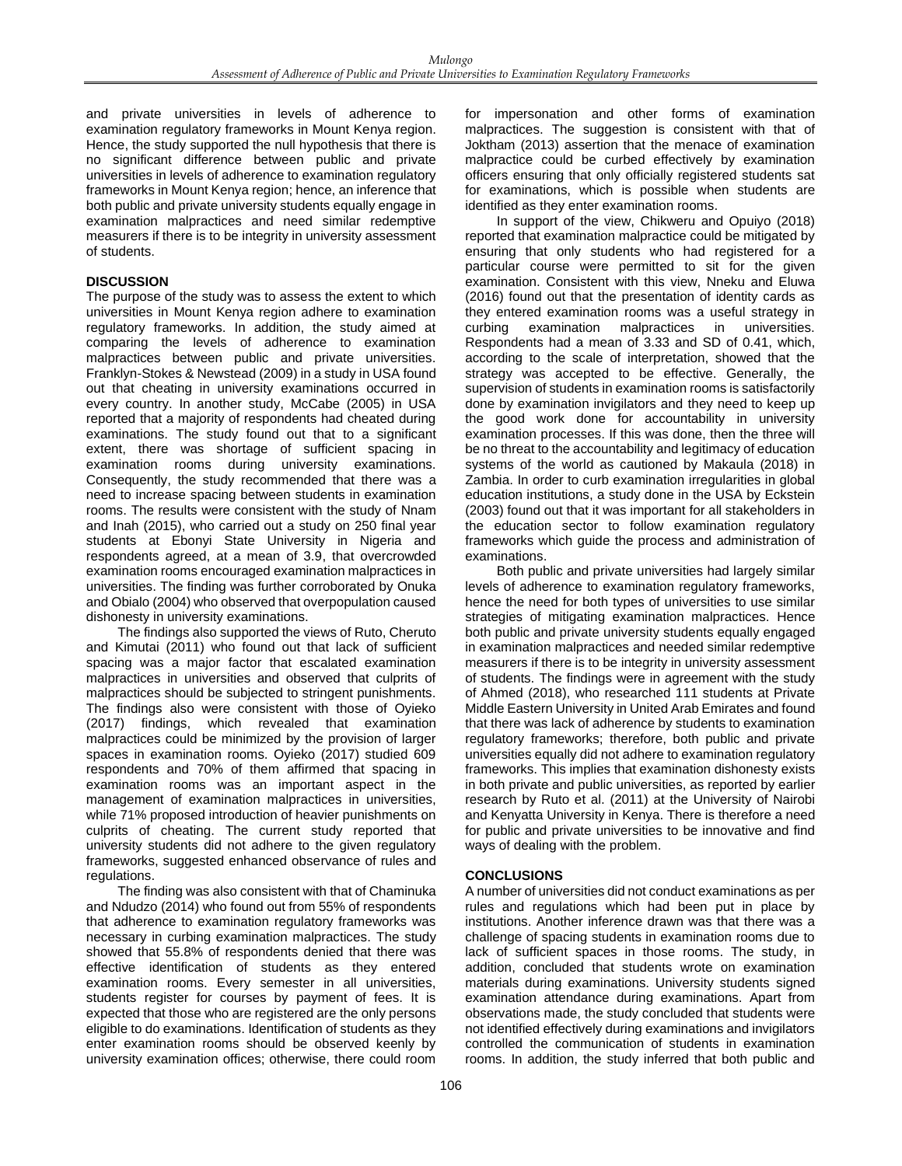and private universities in levels of adherence to examination regulatory frameworks in Mount Kenya region. Hence, the study supported the null hypothesis that there is no significant difference between public and private universities in levels of adherence to examination regulatory frameworks in Mount Kenya region; hence, an inference that both public and private university students equally engage in examination malpractices and need similar redemptive measurers if there is to be integrity in university assessment of students.

## **DISCUSSION**

The purpose of the study was to assess the extent to which universities in Mount Kenya region adhere to examination regulatory frameworks. In addition, the study aimed at comparing the levels of adherence to examination malpractices between public and private universities. Franklyn-Stokes & Newstead (2009) in a study in USA found out that cheating in university examinations occurred in every country. In another study, McCabe (2005) in USA reported that a majority of respondents had cheated during examinations. The study found out that to a significant extent, there was shortage of sufficient spacing in examination rooms during university examinations. Consequently, the study recommended that there was a need to increase spacing between students in examination rooms. The results were consistent with the study of Nnam and Inah (2015), who carried out a study on 250 final year students at Ebonyi State University in Nigeria and respondents agreed, at a mean of 3.9, that overcrowded examination rooms encouraged examination malpractices in universities. The finding was further corroborated by Onuka and Obialo (2004) who observed that overpopulation caused dishonesty in university examinations.

The findings also supported the views of Ruto, Cheruto and Kimutai (2011) who found out that lack of sufficient spacing was a major factor that escalated examination malpractices in universities and observed that culprits of malpractices should be subjected to stringent punishments. The findings also were consistent with those of Oyieko (2017) findings, which revealed that examination malpractices could be minimized by the provision of larger spaces in examination rooms. Oyieko (2017) studied 609 respondents and 70% of them affirmed that spacing in examination rooms was an important aspect in the management of examination malpractices in universities, while 71% proposed introduction of heavier punishments on culprits of cheating. The current study reported that university students did not adhere to the given regulatory frameworks, suggested enhanced observance of rules and regulations.

The finding was also consistent with that of Chaminuka and Ndudzo (2014) who found out from 55% of respondents that adherence to examination regulatory frameworks was necessary in curbing examination malpractices. The study showed that 55.8% of respondents denied that there was effective identification of students as they entered examination rooms. Every semester in all universities, students register for courses by payment of fees. It is expected that those who are registered are the only persons eligible to do examinations. Identification of students as they enter examination rooms should be observed keenly by university examination offices; otherwise, there could room

for impersonation and other forms of examination malpractices. The suggestion is consistent with that of Joktham (2013) assertion that the menace of examination malpractice could be curbed effectively by examination officers ensuring that only officially registered students sat for examinations, which is possible when students are identified as they enter examination rooms.

In support of the view, Chikweru and Opuiyo (2018) reported that examination malpractice could be mitigated by ensuring that only students who had registered for a particular course were permitted to sit for the given examination. Consistent with this view, Nneku and Eluwa (2016) found out that the presentation of identity cards as they entered examination rooms was a useful strategy in curbing examination malpractices in universities. Respondents had a mean of 3.33 and SD of 0.41, which, according to the scale of interpretation, showed that the strategy was accepted to be effective. Generally, the supervision of students in examination rooms is satisfactorily done by examination invigilators and they need to keep up the good work done for accountability in university examination processes. If this was done, then the three will be no threat to the accountability and legitimacy of education systems of the world as cautioned by Makaula (2018) in Zambia. In order to curb examination irregularities in global education institutions, a study done in the USA by Eckstein (2003) found out that it was important for all stakeholders in the education sector to follow examination regulatory frameworks which guide the process and administration of examinations.

Both public and private universities had largely similar levels of adherence to examination regulatory frameworks, hence the need for both types of universities to use similar strategies of mitigating examination malpractices. Hence both public and private university students equally engaged in examination malpractices and needed similar redemptive measurers if there is to be integrity in university assessment of students. The findings were in agreement with the study of Ahmed (2018), who researched 111 students at Private Middle Eastern University in United Arab Emirates and found that there was lack of adherence by students to examination regulatory frameworks; therefore, both public and private universities equally did not adhere to examination regulatory frameworks. This implies that examination dishonesty exists in both private and public universities, as reported by earlier research by Ruto et al. (2011) at the University of Nairobi and Kenyatta University in Kenya. There is therefore a need for public and private universities to be innovative and find ways of dealing with the problem.

## **CONCLUSIONS**

A number of universities did not conduct examinations as per rules and regulations which had been put in place by institutions. Another inference drawn was that there was a challenge of spacing students in examination rooms due to lack of sufficient spaces in those rooms. The study, in addition, concluded that students wrote on examination materials during examinations. University students signed examination attendance during examinations. Apart from observations made, the study concluded that students were not identified effectively during examinations and invigilators controlled the communication of students in examination rooms. In addition, the study inferred that both public and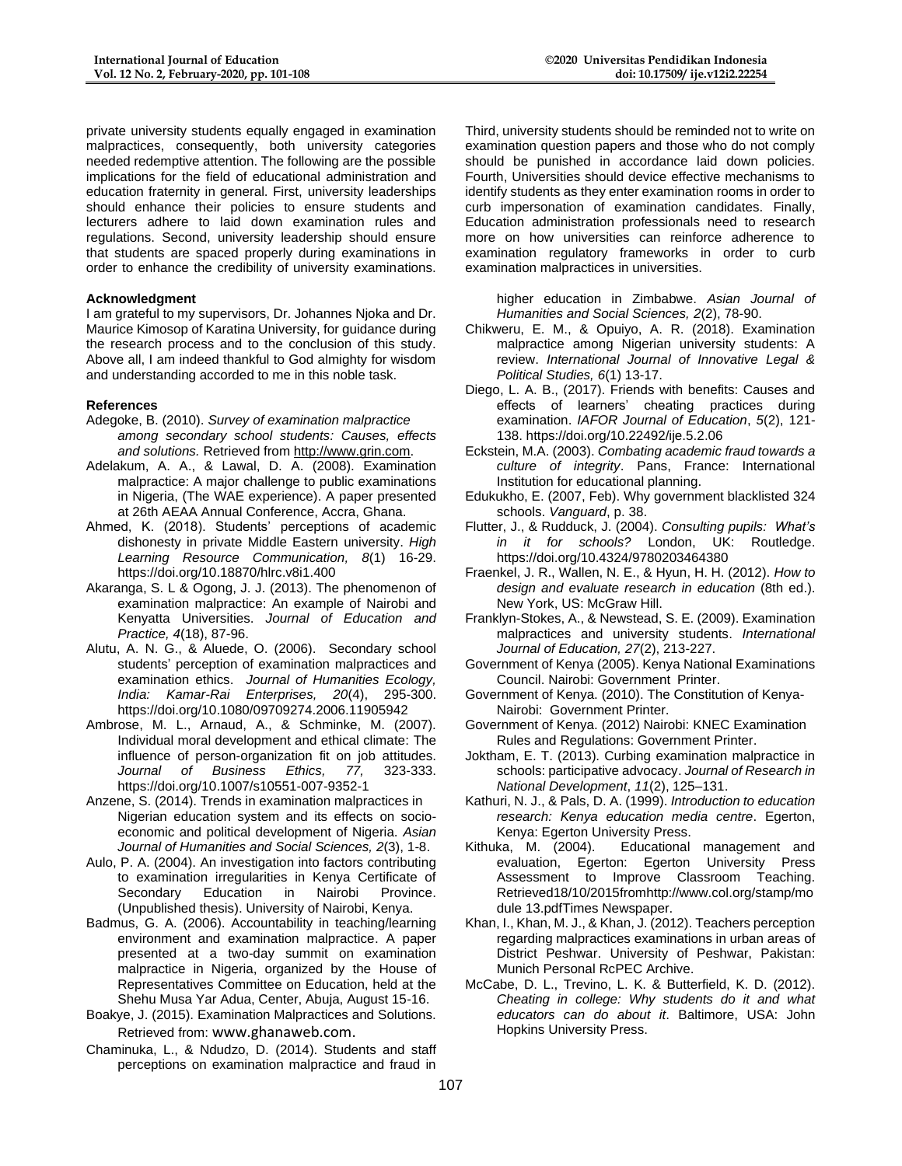private university students equally engaged in examination malpractices, consequently, both university categories needed redemptive attention. The following are the possible implications for the field of educational administration and education fraternity in general. First, university leaderships should enhance their policies to ensure students and lecturers adhere to laid down examination rules and regulations. Second, university leadership should ensure that students are spaced properly during examinations in order to enhance the credibility of university examinations.

## **Acknowledgment**

I am grateful to my supervisors, Dr. Johannes Njoka and Dr. Maurice Kimosop of Karatina University, for guidance during the research process and to the conclusion of this study. Above all, I am indeed thankful to God almighty for wisdom and understanding accorded to me in this noble task.

#### **References**

- Adegoke, B. (2010). *Survey of examination malpractice among secondary school students: Causes, effects and solutions.* Retrieved fro[m http://www.grin.com.](http://www.grin.com/)
- Adelakum, A. A., & Lawal, D. A. (2008). Examination malpractice: A major challenge to public examinations in Nigeria, (The WAE experience). A paper presented at 26th AEAA Annual Conference, Accra, Ghana.
- Ahmed, K. (2018). Students' perceptions of academic dishonesty in private Middle Eastern university. *High Learning Resource Communication, 8*(1) 16-29. https://doi.org/10.18870/hlrc.v8i1.400
- Akaranga, S. L & Ogong, J. J. (2013). The phenomenon of examination malpractice: An example of Nairobi and Kenyatta Universities. *Journal of Education and Practice, 4*(18), 87-96.
- Alutu, A. N. G., & Aluede, O. (2006). Secondary school students' perception of examination malpractices and examination ethics. *Journal of Humanities Ecology, India: Kamar-Rai Enterprises, 20*(4), 295-300. https://doi.org/10.1080/09709274.2006.11905942
- Ambrose, M. L., Arnaud, A., & Schminke, M. (2007). Individual moral development and ethical climate: The influence of person-organization fit on job attitudes. *Journal of Business Ethics, 77,* 323-333. https://doi.org/10.1007/s10551-007-9352-1
- Anzene, S. (2014). Trends in examination malpractices in Nigerian education system and its effects on socioeconomic and political development of Nigeria. *Asian Journal of Humanities and Social Sciences, 2*(3), 1-8.
- Aulo, P. A. (2004). An investigation into factors contributing to examination irregularities in Kenya Certificate of Secondary Education in Nairobi Province. (Unpublished thesis). University of Nairobi, Kenya.
- Badmus, G. A. (2006). Accountability in teaching/learning environment and examination malpractice. A paper presented at a two-day summit on examination malpractice in Nigeria, organized by the House of Representatives Committee on Education, held at the Shehu Musa Yar Adua, Center, Abuja, August 15-16.
- Boakye, J. (2015). Examination Malpractices and Solutions. Retrieved from: [www.ghanaweb.com.](http://www.ghanaweb.com/)
- Chaminuka, L., & Ndudzo, D. (2014). Students and staff perceptions on examination malpractice and fraud in

Third, university students should be reminded not to write on examination question papers and those who do not comply should be punished in accordance laid down policies. Fourth, Universities should device effective mechanisms to identify students as they enter examination rooms in order to curb impersonation of examination candidates. Finally, Education administration professionals need to research more on how universities can reinforce adherence to examination regulatory frameworks in order to curb examination malpractices in universities.

higher education in Zimbabwe. *Asian Journal of Humanities and Social Sciences, 2*(2), 78-90.

- Chikweru, E. M., & Opuiyo, A. R. (2018). Examination malpractice among Nigerian university students: A review. *International Journal of Innovative Legal & Political Studies, 6*(1) 13-17.
- Diego, L. A. B., (2017). Friends with benefits: Causes and effects of learners' cheating practices during examination. *IAFOR Journal of Education*, *5*(2), 121- 138. https://doi.org/10.22492/ije.5.2.06
- Eckstein, M.A. (2003). *Combating academic fraud towards a culture of integrity*. Pans, France: International Institution for educational planning.
- Edukukho, E. (2007, Feb). Why government blacklisted 324 schools. *Vanguard*, p. 38.
- Flutter, J., & Rudduck, J. (2004). *Consulting pupils: What's in it for schools?* London, UK: Routledge. https://doi.org/10.4324/9780203464380
- Fraenkel, J. R., Wallen, N. E., & Hyun, H. H. (2012). *How to design and evaluate research in education* (8th ed.). New York, US: McGraw Hill.
- Franklyn-Stokes, A., & Newstead, S. E. (2009). Examination malpractices and university students. *International Journal of Education, 27*(2), 213-227.
- Government of Kenya (2005). Kenya National Examinations Council. Nairobi: Government Printer.
- Government of Kenya. (2010). The Constitution of Kenya-Nairobi: Government Printer.
- Government of Kenya. (2012) Nairobi: KNEC Examination Rules and Regulations: Government Printer.
- Joktham, E. T. (2013). Curbing examination malpractice in schools: participative advocacy. *Journal of Research in National Development*, *11*(2), 125–131.
- Kathuri, N. J., & Pals, D. A. (1999). *Introduction to education research: Kenya education media centre*. Egerton, Kenya: Egerton University Press.
- Kithuka, M. (2004). Educational management and evaluation, Egerton: Egerton University Press Assessment to Improve Classroom Teaching. Retrieved18/10/2015fro[mhttp://www.col.org/stamp/mo](http://www.col.org/stamp/module%2013.pdf) [dule 13.pdfT](http://www.col.org/stamp/module%2013.pdf)imes Newspaper.
- Khan, I., Khan, M. J., & Khan, J. (2012). Teachers perception regarding malpractices examinations in urban areas of District Peshwar. University of Peshwar, Pakistan: Munich Personal RcPEC Archive.
- McCabe, D. L., Trevino, L. K. & Butterfield, K. D. (2012). *Cheating in college: Why students do it and what educators can do about it*. Baltimore, USA: John Hopkins University Press.